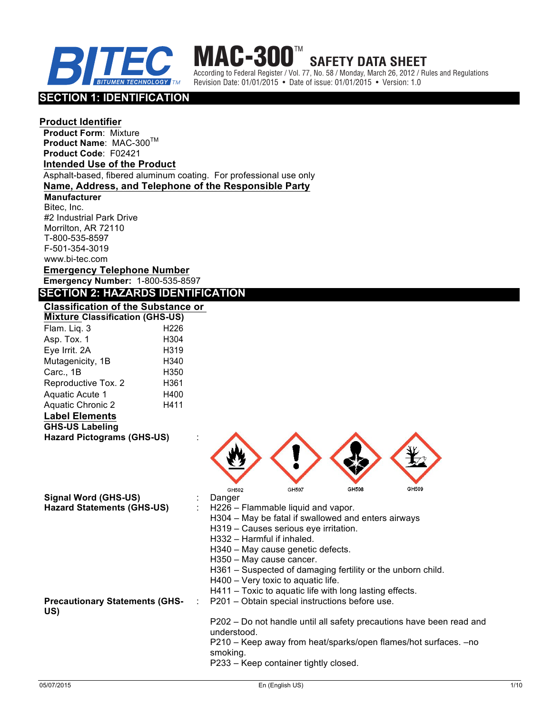



According to Federal Register / Vol. 77, No. 58 / Monday, March 26, 2012 / Rules and Regulations Revision Date: 01/01/2015 • Date of issue: 01/01/2015 • Version: 1.0

**SAFETY DATA SHEET**

# **SECTION 1: IDENTIFICATION**

## **Product Identifier**

**Product Form**: Mixture **Product Name: MAC-300™ Product Code**: F02421 **Intended Use of the Product** Asphalt-based, fibered aluminum coating. For professional use only **Name, Address, and Telephone of the Responsible Party Manufacturer** Bitec, Inc. #2 Industrial Park Drive Morrilton, AR 72110 T-800-535-8597 F-501-354-3019 www.bi-tec.com **Emergency Telephone Number Emergency Number:** 1-800-535-8597 **SECTION 2: HAZARDS IDENTIFICATION Classification of the Substance or Mixture Classification (GHS-US)** Flam. Liq. 3 H226 Asp. Tox. 1 H304 Eye Irrit. 2A H319 Mutagenicity, 1B H340 Carc., 1B H350 Reproductive Tox. 2 H361 Aquatic Acute 1 H400 Aquatic Chronic 2 H411 **Label Elements GHS-US Labeling Hazard Pictograms (GHS-US)** :



| Signal Word (GHS-US)                         | Danger                                                                              |  |  |  |  |
|----------------------------------------------|-------------------------------------------------------------------------------------|--|--|--|--|
|                                              |                                                                                     |  |  |  |  |
| <b>Hazard Statements (GHS-US)</b>            | H226 – Flammable liquid and vapor.                                                  |  |  |  |  |
|                                              | H304 – May be fatal if swallowed and enters airways                                 |  |  |  |  |
|                                              | H319 – Causes serious eye irritation.                                               |  |  |  |  |
|                                              | H332 - Harmful if inhaled.                                                          |  |  |  |  |
|                                              | H340 – May cause genetic defects.                                                   |  |  |  |  |
|                                              | H350 - May cause cancer.                                                            |  |  |  |  |
|                                              | H361 – Suspected of damaging fertility or the unborn child.                         |  |  |  |  |
|                                              | H400 - Very toxic to aquatic life.                                                  |  |  |  |  |
|                                              | H411 – Toxic to aquatic life with long lasting effects.                             |  |  |  |  |
| <b>Precautionary Statements (GHS-</b><br>US) | : P201 – Obtain special instructions before use.                                    |  |  |  |  |
|                                              | P202 – Do not handle until all safety precautions have been read and<br>understood. |  |  |  |  |
|                                              | P210 – Keep away from heat/sparks/open flames/hot surfaces. –no<br>smoking.         |  |  |  |  |
|                                              | P233 – Keep container tightly closed.                                               |  |  |  |  |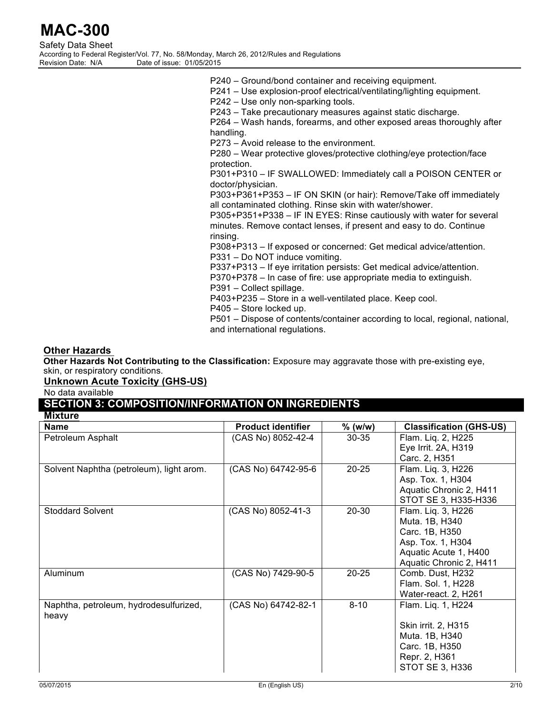| Safety Data Sheet  |                                                                                            |
|--------------------|--------------------------------------------------------------------------------------------|
|                    | According to Federal Register/Vol. 77, No. 58/Monday, March 26, 2012/Rules and Regulations |
| Revision Date: N/A | Date of issue: 01/05/2015                                                                  |

- P240 Ground/bond container and receiving equipment.
- P241 Use explosion-proof electrical/ventilating/lighting equipment.

P242 – Use only non-sparking tools.

P243 – Take precautionary measures against static discharge.

P264 – Wash hands, forearms, and other exposed areas thoroughly after handling.

P273 – Avoid release to the environment.

P280 – Wear protective gloves/protective clothing/eye protection/face protection.

P301+P310 – IF SWALLOWED: Immediately call a POISON CENTER or doctor/physician.

P303+P361+P353 – IF ON SKIN (or hair): Remove/Take off immediately all contaminated clothing. Rinse skin with water/shower.

P305+P351+P338 – IF IN EYES: Rinse cautiously with water for several minutes. Remove contact lenses, if present and easy to do. Continue rinsing.

P308+P313 – If exposed or concerned: Get medical advice/attention. P331 – Do NOT induce vomiting.

P337+P313 – If eye irritation persists: Get medical advice/attention.

P370+P378 – In case of fire: use appropriate media to extinguish.

P391 – Collect spillage.

P403+P235 – Store in a well-ventilated place. Keep cool.

P405 – Store locked up.

P501 – Dispose of contents/container according to local, regional, national, and international regulations.

## **Other Hazards**

**Other Hazards Not Contributing to the Classification:** Exposure may aggravate those with pre-existing eye, skin, or respiratory conditions.

# **Unknown Acute Toxicity (GHS-US)**

No data available

#### **SECTION 3: COMPOSITION/INFORMATION ON INGREDIENTS Mixture**

| MINUIC                                   |                           |           |                                |
|------------------------------------------|---------------------------|-----------|--------------------------------|
| <b>Name</b>                              | <b>Product identifier</b> | $%$ (w/w) | <b>Classification (GHS-US)</b> |
| Petroleum Asphalt                        | (CAS No) 8052-42-4        | $30 - 35$ | Flam. Liq. 2, H225             |
|                                          |                           |           | Eye Irrit. 2A, H319            |
|                                          |                           |           | Carc. 2, H351                  |
| Solvent Naphtha (petroleum), light arom. | (CAS No) 64742-95-6       | $20 - 25$ | Flam. Liq. 3, H226             |
|                                          |                           |           | Asp. Tox. 1, H304              |
|                                          |                           |           | Aquatic Chronic 2, H411        |
|                                          |                           |           | STOT SE 3, H335-H336           |
| <b>Stoddard Solvent</b>                  | (CAS No) 8052-41-3        | 20-30     | Flam. Liq. 3, H226             |
|                                          |                           |           | Muta. 1B, H340                 |
|                                          |                           |           | Carc. 1B, H350                 |
|                                          |                           |           | Asp. Tox. 1, H304              |
|                                          |                           |           | Aquatic Acute 1, H400          |
|                                          |                           |           | Aquatic Chronic 2, H411        |
| Aluminum                                 | (CAS No) 7429-90-5        | $20 - 25$ | Comb. Dust, H232               |
|                                          |                           |           | Flam. Sol. 1, H228             |
|                                          |                           |           | Water-react. 2, H261           |
| Naphtha, petroleum, hydrodesulfurized,   | (CAS No) 64742-82-1       | $8 - 10$  | Flam. Liq. 1, H224             |
| heavy                                    |                           |           |                                |
|                                          |                           |           | Skin irrit. 2, H315            |
|                                          |                           |           | Muta. 1B, H340                 |
|                                          |                           |           | Carc. 1B, H350                 |
|                                          |                           |           | Repr. 2, H361                  |
|                                          |                           |           | STOT SE 3, H336                |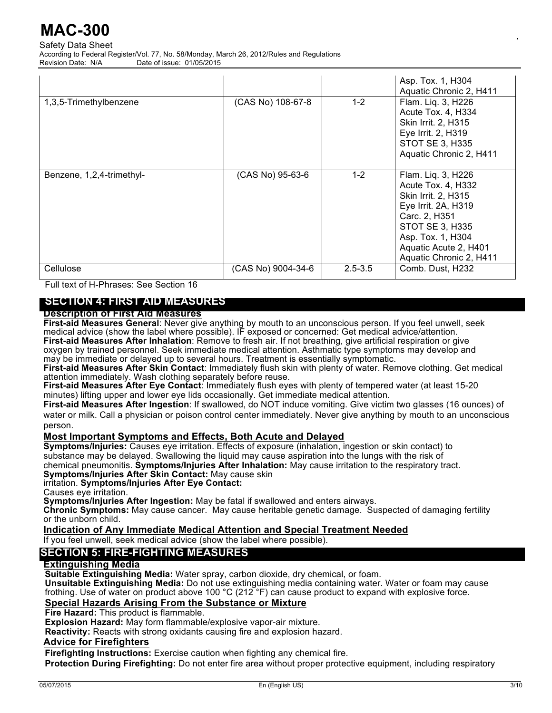Safety Data Sheet According to Federal Register/Vol. 77, No. 58/Monday, March 26, 2012/Rules and Regulations Date of issue: 01/05/2015

| 1,3,5-Trimethylbenzene    | (CAS No) 108-67-8  | $1 - 2$     | Asp. Tox. 1, H304<br>Aquatic Chronic 2, H411<br>Flam. Liq. 3, H226<br>Acute Tox. 4, H334<br><b>Skin Irrit. 2, H315</b><br>Eye Irrit. 2, H319<br><b>STOT SE 3, H335</b><br>Aquatic Chronic 2, H411          |
|---------------------------|--------------------|-------------|------------------------------------------------------------------------------------------------------------------------------------------------------------------------------------------------------------|
| Benzene, 1,2,4-trimethyl- | (CAS No) 95-63-6   | $1 - 2$     | Flam. Liq. 3, H226<br>Acute Tox. 4, H332<br>Skin Irrit. 2, H315<br>Eye Irrit. 2A, H319<br>Carc. 2, H351<br><b>STOT SE 3, H335</b><br>Asp. Tox. 1, H304<br>Aquatic Acute 2, H401<br>Aquatic Chronic 2, H411 |
| Cellulose                 | (CAS No) 9004-34-6 | $2.5 - 3.5$ | Comb. Dust, H232                                                                                                                                                                                           |

Full text of H-Phrases: See Section 16

# **SECTION 4: FIRST AID MEASURES**

## **Description of First Aid Measures**

**First-aid Measures General**: Never give anything by mouth to an unconscious person. If you feel unwell, seek medical advice (show the label where possible). IF exposed or concerned: Get medical advice/attention. **First-aid Measures After Inhalation**: Remove to fresh air. If not breathing, give artificial respiration or give

oxygen by trained personnel. Seek immediate medical attention. Asthmatic type symptoms may develop and may be immediate or delayed up to several hours. Treatment is essentially symptomatic.

**First-aid Measures After Skin Contact**: Immediately flush skin with plenty of water. Remove clothing. Get medical attention immediately. Wash clothing separately before reuse.

**First-aid Measures After Eye Contact**: Immediately flush eyes with plenty of tempered water (at least 15-20 minutes) lifting upper and lower eye lids occasionally. Get immediate medical attention.

**First-aid Measures After Ingestion**: If swallowed, do NOT induce vomiting. Give victim two glasses (16 ounces) of water or milk. Call a physician or poison control center immediately. Never give anything by mouth to an unconscious person.

## **Most Important Symptoms and Effects, Both Acute and Delayed**

**Symptoms/Injuries:** Causes eye irritation. Effects of exposure (inhalation, ingestion or skin contact) to substance may be delayed. Swallowing the liquid may cause aspiration into the lungs with the risk of chemical pneumonitis. **Symptoms/Injuries After Inhalation:** May cause irritation to the respiratory tract. **Symptoms/Injuries After Skin Contact:** May cause skin

irritation. **Symptoms/Injuries After Eye Contact:** 

Causes eye irritation.

**Symptoms/Injuries After Ingestion:** May be fatal if swallowed and enters airways.

Chronic Symptoms: May cause cancer. May cause heritable genetic damage. Suspected of damaging fertility or the unborn child.

## **Indication of Any Immediate Medical Attention and Special Treatment Needed**

If you feel unwell, seek medical advice (show the label where possible).

## **SECTION 5: FIRE-FIGHTING MEASURES**

## **Extinguishing Media**

**Suitable Extinguishing Media:** Water spray, carbon dioxide, dry chemical, or foam.

**Unsuitable Extinguishing Media:** Do not use extinguishing media containing water. Water or foam may cause frothing. Use of water on product above 100 °C (212 °F) can cause product to expand with explosive force.

## **Special Hazards Arising From the Substance or Mixture**

**Fire Hazard:** This product is flammable.

**Explosion Hazard:** May form flammable/explosive vapor-air mixture.

**Reactivity:** Reacts with strong oxidants causing fire and explosion hazard.

### **Advice for Firefighters**

**Firefighting Instructions:** Exercise caution when fighting any chemical fire.

**Protection During Firefighting:** Do not enter fire area without proper protective equipment, including respiratory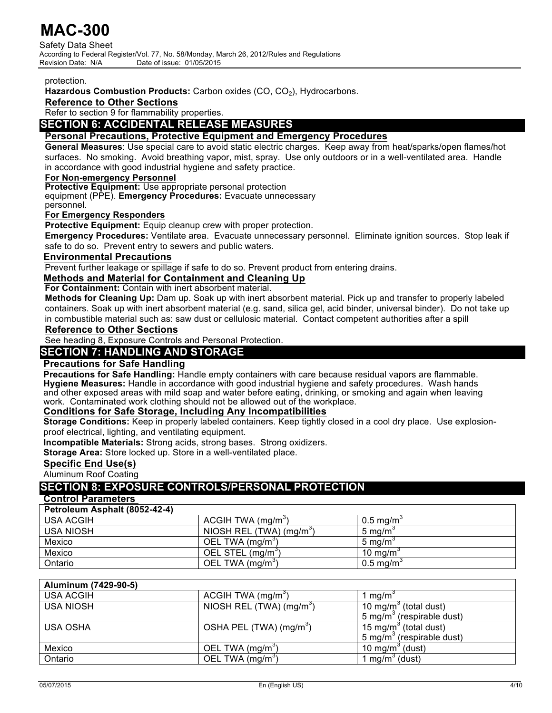Safety Data Sheet According to Federal Register/Vol. 77, No. 58/Monday, March 26, 2012/Rules and Regulations<br>Revision Date: N/A<br> Date of issue: 01/05/2015

### protection.

Hazardous Combustion Products: Carbon oxides (CO, CO<sub>2</sub>), Hydrocarbons.

## **Reference to Other Sections**

Refer to section 9 for flammability properties.

## **SECTION 6: ACCIDENTAL RELEASE MEASURES**

## **Personal Precautions, Protective Equipment and Emergency Procedures**

**General Measures**: Use special care to avoid static electric charges. Keep away from heat/sparks/open flames/hot surfaces. No smoking. Avoid breathing vapor, mist, spray. Use only outdoors or in a well-ventilated area. Handle in accordance with good industrial hygiene and safety practice.

## **For Non-emergency Personnel**

**Protective Equipment:** Use appropriate personal protection

equipment (PPE). **Emergency Procedures:** Evacuate unnecessary

personnel.

## **For Emergency Responders**

**Protective Equipment:** Equip cleanup crew with proper protection.

**Emergency Procedures:** Ventilate area. Evacuate unnecessary personnel. Eliminate ignition sources. Stop leak if safe to do so. Prevent entry to sewers and public waters.

## **Environmental Precautions**

Prevent further leakage or spillage if safe to do so. Prevent product from entering drains.

## **Methods and Material for Containment and Cleaning Up**

**For Containment:** Contain with inert absorbent material.

**Methods for Cleaning Up:** Dam up. Soak up with inert absorbent material. Pick up and transfer to properly labeled containers. Soak up with inert absorbent material (e.g. sand, silica gel, acid binder, universal binder). Do not take up in combustible material such as: saw dust or cellulosic material. Contact competent authorities after a spill

## **Reference to Other Sections**

See heading 8, Exposure Controls and Personal Protection.

## **SECTION 7: HANDLING AND STORAGE**

## **Precautions for Safe Handling**

**Precautions for Safe Handling:** Handle empty containers with care because residual vapors are flammable. **Hygiene Measures:** Handle in accordance with good industrial hygiene and safety procedures. Wash hands and other exposed areas with mild soap and water before eating, drinking, or smoking and again when leaving work. Contaminated work clothing should not be allowed out of the workplace.

## **Conditions for Safe Storage, Including Any Incompatibilities**

**Storage Conditions:** Keep in properly labeled containers. Keep tightly closed in a cool dry place. Use explosionproof electrical, lighting, and ventilating equipment.

**Incompatible Materials:** Strong acids, strong bases. Strong oxidizers.

**Storage Area:** Store locked up. Store in a well-ventilated place.

## **Specific End Use(s)**

Aluminum Roof Coating

# **SECTION 8: EXPOSURE CONTROLS/PERSONAL PROTECTION**

## **Control Parameters**

**Petroleum Asphalt (8052-42-4)**

| <b>USA ACGIH</b> | ACGIH TWA (mg/m <sup>3</sup> ) | $0.5 \text{ mg/m}^3$ |
|------------------|--------------------------------|----------------------|
| <b>USA NIOSH</b> | NIOSH REL (TWA) ( $mq/m3$ )    | 5 mg/m $\degree$     |
| Mexico           | OEL TWA (mg/m <sup>3</sup> )   | 5 mg/m $\degree$     |
| Mexico           | OEL STEL (mg/m <sup>o</sup> )  | 10 mg/m $\degree$    |
| Ontario          | OEL TWA (mg/m <sup>3</sup> )   | $0.5 \text{ mg/m}$   |

## **Aluminum (7429-90-5)**

| <b>USA ACGIH</b> | ACGIH TWA $(mg/m3)$                 | 1 ma/m`                               |
|------------------|-------------------------------------|---------------------------------------|
| USA NIOSH        | NIOSH REL (TWA) ( $mg/m3$ )         | 10 mg/m <sup>3</sup> (total dust)     |
|                  |                                     | 5 mg/m <sup>3</sup> (respirable dust) |
| <b>USA OSHA</b>  | OSHA PEL (TWA) (mg/m <sup>3</sup> ) | 15 mg/m <sup>3</sup> (total dust)     |
|                  |                                     | 5 mg/m <sup>3</sup> (respirable dust) |
| Mexico           | OEL TWA (mg/m <sup>3</sup> )        | 10 mg/m <sup>3</sup> (dust)           |
| Ontario          | OEL TWA (mg/m <sup>3</sup> )        | 1 mg/m <sup>3</sup> (dust)            |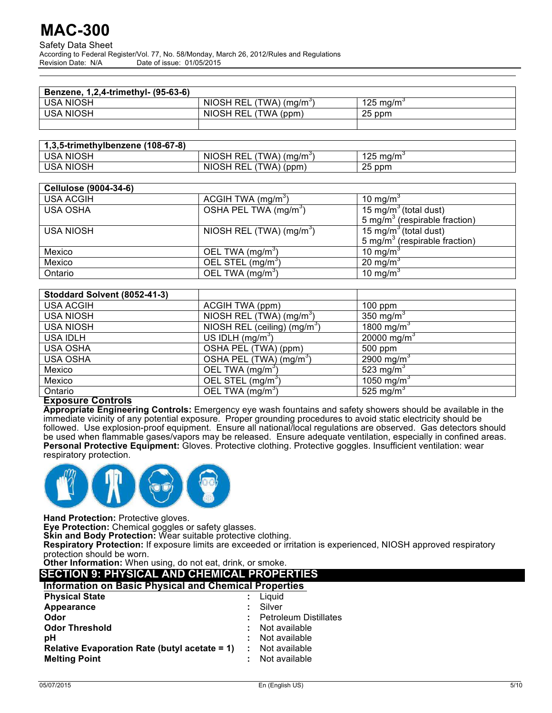#### Safety Data Sheet According to Federal Register/Vol. 77, No. 58/Monday, March 26, 2012/Rules and Regulations Date of issue: 01/05/2015

| Benzene, 1,2,4-trimethyl- (95-63-6) |                                     |                     |
|-------------------------------------|-------------------------------------|---------------------|
| USA NIOSH                           | NIOSH REL (TWA) (ma/m <sup>3)</sup> | 125 mg/m $^{\circ}$ |
| <b>USA NIOSH</b>                    | NIOSH REL (TWA (ppm)                | 25 ppm              |
|                                     |                                     |                     |

| 1,3,5-trimethylbenzene (108-67-8) |                                    |                       |
|-----------------------------------|------------------------------------|-----------------------|
| USA NIOSH                         | NIOSH REL (TWA) (mg/m <sup>3</sup> | 125 mg/m <sup>3</sup> |
| <b>USA NIOSH</b>                  | NIOSH REL (<br>$(TWA)$ (ppm)       | 25 ppm                |

| <b>Cellulose (9004-34-6)</b> |                                   |                                           |
|------------------------------|-----------------------------------|-------------------------------------------|
| <b>USA ACGIH</b>             | ACGIH TWA $(mg/m3)$               | 10 mg/m <sup>3</sup>                      |
| <b>USA OSHA</b>              | OSHA PEL TWA (mg/m <sup>3</sup> ) | 15 mg/m <sup>3</sup> (total dust)         |
|                              |                                   | 5 mg/m <sup>3</sup> (respirable fraction) |
| <b>USA NIOSH</b>             | NIOSH REL (TWA) $(mg/m3)$         | 15 mg/m <sup>3</sup> (total dust)         |
|                              |                                   | 5 mg/m <sup>3</sup> (respirable fraction) |
| Mexico                       | OEL TWA (mg/m <sup>3</sup> )      | 10 mg/m <sup>3</sup>                      |
| Mexico                       | OEL STEL (mg/m <sup>3</sup> )     | 20 mg/m <sup>3</sup>                      |
| Ontario                      | OEL TWA (mg/m <sup>3</sup> )      | 10 mg/m <sup>3</sup>                      |

| Stoddard Solvent (8052-41-3) |                                          |                         |
|------------------------------|------------------------------------------|-------------------------|
| <b>USA ACGIH</b>             | ACGIH TWA (ppm)                          | $100$ ppm               |
| <b>USA NIOSH</b>             | NIOSH REL (TWA) (mg/m <sup>3</sup> )     | 350 mg/m <sup>3</sup>   |
| <b>USA NIOSH</b>             | NIOSH REL (ceiling) (mg/m <sup>3</sup> ) | 1800 mg/m <sup>3</sup>  |
| <b>USA IDLH</b>              | US IDLH $(mg/m3)$                        | 20000 mg/m <sup>3</sup> |
| <b>USA OSHA</b>              | OSHA PEL (TWA) (ppm)                     | 500 ppm                 |
| <b>USA OSHA</b>              | OSHA PEL (TWA) (mg/m <sup>3</sup> )      | 2900 mg/m <sup>3</sup>  |
| Mexico                       | OEL TWA (mg/m <sup>3</sup> )             | 523 mg/m <sup>3</sup>   |
| Mexico                       | OEL STEL (mg/m <sup>3)</sup>             | 1050 mg/m <sup>3</sup>  |
| Ontario                      | OEL TWA (mg/m <sup>3</sup> )             | 525 mg/m <sup>3</sup>   |

## **Exposure Controls**

**Appropriate Engineering Controls:** Emergency eye wash fountains and safety showers should be available in the immediate vicinity of any potential exposure. Proper grounding procedures to avoid static electricity should be followed. Use explosion-proof equipment. Ensure all national/local regulations are observed. Gas detectors should be used when flammable gases/vapors may be released. Ensure adequate ventilation, especially in confined areas. **Personal Protective Equipment:** Gloves. Protective clothing. Protective goggles. Insufficient ventilation: wear respiratory protection.



**Hand Protection:** Protective gloves.

**Eye Protection:** Chemical goggles or safety glasses.

**Skin and Body Protection:** Wear suitable protective clothing.

**Respiratory Protection:** If exposure limits are exceeded or irritation is experienced, NIOSH approved respiratory protection should be worn.

**Other Information:** When using, do not eat, drink, or smoke. **SECTION 9: PHYSICAL AND CHEMICAL PROPERTIES**

| SECTION 9. FATSICAL AND CAEWICAL PROPERTIES                  |  |                              |  |  |
|--------------------------------------------------------------|--|------------------------------|--|--|
| <b>Information on Basic Physical and Chemical Properties</b> |  |                              |  |  |
| <b>Physical State</b>                                        |  | Liauid                       |  |  |
| Appearance                                                   |  | Silver                       |  |  |
| Odor                                                         |  | <b>Petroleum Distillates</b> |  |  |
| <b>Odor Threshold</b>                                        |  | Not available                |  |  |
| рH                                                           |  | Not available                |  |  |
| <b>Relative Evaporation Rate (butyl acetate = 1)</b>         |  | Not available                |  |  |
| <b>Melting Point</b>                                         |  | Not available                |  |  |
|                                                              |  |                              |  |  |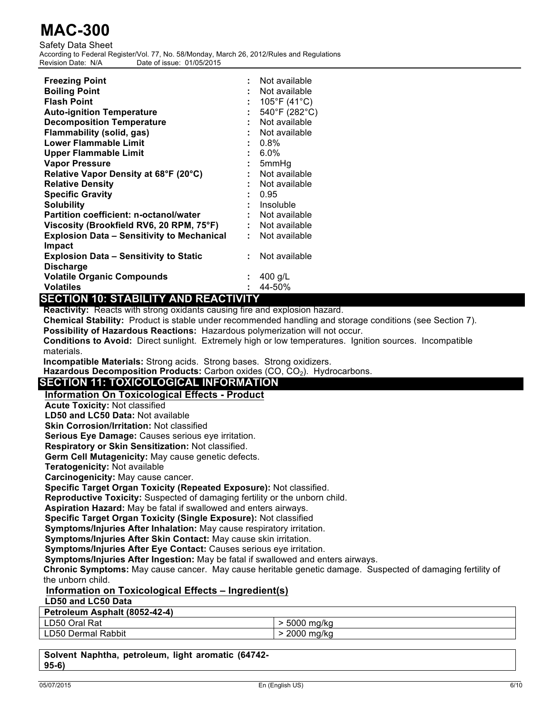Safety Data Sheet According to Federal Register/Vol. 77, No. 58/Monday, March 26, 2012/Rules and Regulations<br>Revision Date: N/A<br> Date of issue: 01/05/2015

| <b>Freezing Point</b>                             |    | Not available               |
|---------------------------------------------------|----|-----------------------------|
| <b>Boiling Point</b>                              |    | Not available               |
| <b>Flash Point</b>                                |    | $105^{\circ}F(41^{\circ}C)$ |
| <b>Auto-ignition Temperature</b>                  |    | 540°F (282°C)               |
| <b>Decomposition Temperature</b>                  |    | : Not available             |
| <b>Flammability (solid, gas)</b>                  |    | Not available               |
| Lower Flammable Limit                             |    | $: 0.8\%$                   |
| <b>Upper Flammable Limit</b>                      |    | $: 6.0\%$                   |
| <b>Vapor Pressure</b>                             |    | $: 5mm$ Hq                  |
| Relative Vapor Density at 68°F (20°C)             |    | Not available               |
| <b>Relative Density</b>                           |    | Not available               |
| <b>Specific Gravity</b>                           |    | : 0.95                      |
| <b>Solubility</b>                                 |    | : Insoluble                 |
| Partition coefficient: n-octanol/water            |    | : Not available             |
| Viscosity (Brookfield RV6, 20 RPM, 75°F)          |    | : Not available             |
| <b>Explosion Data - Sensitivity to Mechanical</b> | t. | Not available               |
| Impact                                            |    |                             |
| <b>Explosion Data – Sensitivity to Static</b>     |    | Not available               |
| <b>Discharge</b>                                  |    |                             |
| <b>Volatile Organic Compounds</b>                 |    | 400 g/L                     |
| <b>Volatiles</b>                                  | ÷  | 44-50%                      |

# **SECTION 10: STABILITY AND REACTIVITY**

**Reactivity:** Reacts with strong oxidants causing fire and explosion hazard.

**Chemical Stability:** Product is stable under recommended handling and storage conditions (see Section 7).

**Possibility of Hazardous Reactions:** Hazardous polymerization will not occur.

**Conditions to Avoid:** Direct sunlight. Extremely high or low temperatures. Ignition sources. Incompatible materials.

**Incompatible Materials:** Strong acids. Strong bases. Strong oxidizers.

Hazardous Decomposition Products: Carbon oxides (CO, CO<sub>2</sub>). Hydrocarbons.

# **SECTION 11: TOXICOLOGICAL INFORMATION**

## **Information On Toxicological Effects - Product**

**Acute Toxicity:** Not classified

**LD50 and LC50 Data:** Not available

**Skin Corrosion/Irritation:** Not classified

**Serious Eye Damage:** Causes serious eye irritation.

**Respiratory or Skin Sensitization:** Not classified.

**Germ Cell Mutagenicity:** May cause genetic defects.

**Teratogenicity:** Not available

**Carcinogenicity:** May cause cancer.

**Specific Target Organ Toxicity (Repeated Exposure):** Not classified.

**Reproductive Toxicity:** Suspected of damaging fertility or the unborn child.

**Aspiration Hazard:** May be fatal if swallowed and enters airways.

**Specific Target Organ Toxicity (Single Exposure):** Not classified

**Symptoms/Injuries After Inhalation:** May cause respiratory irritation.

**Symptoms/Injuries After Skin Contact:** May cause skin irritation.

**Symptoms/Injuries After Eye Contact:** Causes serious eye irritation.

**Symptoms/Injuries After Ingestion:** May be fatal if swallowed and enters airways.

**Chronic Symptoms:** May cause cancer. May cause heritable genetic damage. Suspected of damaging fertility of the unborn child.

## **Information on Toxicological Effects – Ingredient(s)**

## **LD50 and LC50 Data**

| Petroleum Asphalt (8052-42-4) |                 |
|-------------------------------|-----------------|
| LD50 Oral Rat                 | > 5000<br>ma/ka |
| <b>LD50 Dermal Rabbit</b>     | 2000<br>ma/ka   |

**Solvent Naphtha, petroleum, light aromatic (64742- 95-6)**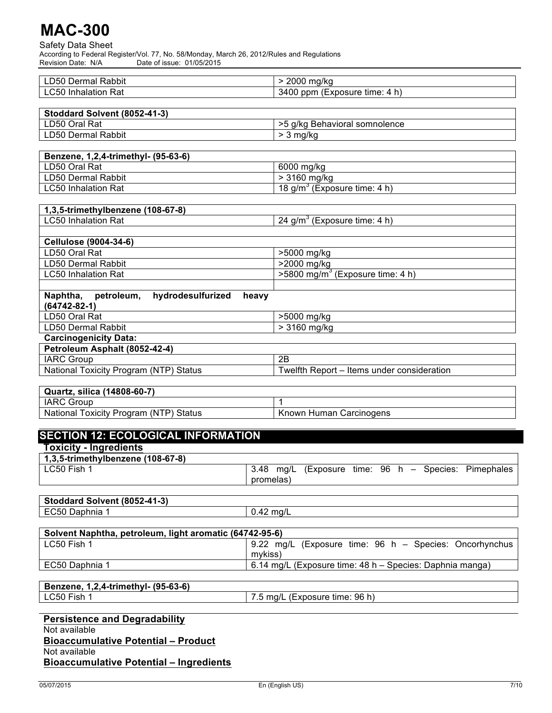Safety Data Sheet According to Federal Register/Vol. 77, No. 58/Monday, March 26, 2012/Rules and Regulations Revision Date: N/A Date of issue: 01/05/2015

| . .<br>$\overline{\phantom{0}}$<br>Dermal<br>Rabbit<br>LD50 | 2000<br>ma/ka                            |
|-------------------------------------------------------------|------------------------------------------|
| Rat<br>Inhalation <b>I</b><br>LC50                          | 3400<br>n)<br>(Exposure-<br>ppm<br>time: |

| Stoddard Solvent (8052-41-3) |                               |
|------------------------------|-------------------------------|
| LD50 Oral Rat                | >5 g/kg Behavioral somnolence |
| LD50 Dermal Rabbit           | ma/ko                         |

| Benzene, 1,2,4-trimethyl- (95-63-6) |                                          |  |
|-------------------------------------|------------------------------------------|--|
| LD50 Oral Rat                       | 6000 ma/ka                               |  |
| LD50 Dermal Rabbit                  | > 3160 ma/ka                             |  |
| <b>LC50 Inhalation Rat</b>          | 18 g/m <sup>3</sup> (Exposure time: 4 h) |  |

| 1,3,5-trimethylbenzene (108-67-8) |  |
|-----------------------------------|--|
|                                   |  |
|                                   |  |

| LC50 Inhalation Rat          | 24 g/m <sup>3</sup> (Exposure time: 4 h)       |
|------------------------------|------------------------------------------------|
|                              |                                                |
| <b>Cellulose (9004-34-6)</b> |                                                |
| LD50 Oral Rat                | >5000 mg/kg                                    |
| LD50 Dermal Rabbit           | >2000 mg/kg                                    |
| LC50 Inhalation Rat          | $>5800$ mg/m <sup>3</sup> (Exposure time: 4 h) |
|                              |                                                |

| hydrodesulfurized<br>Naphtha,<br>petroleum.<br>heavv<br>$(64742 - 82 - 1)$ |                                            |  |
|----------------------------------------------------------------------------|--------------------------------------------|--|
| LD50 Oral Rat                                                              | >5000 mg/kg                                |  |
| LD50 Dermal Rabbit                                                         | $> 3160$ mg/kg                             |  |
| <b>Carcinogenicity Data:</b>                                               |                                            |  |
| Petroleum Asphalt (8052-42-4)                                              |                                            |  |
| <b>IARC Group</b>                                                          | 2B                                         |  |
| National Toxicity Program (NTP) Status                                     | Twelfth Report – Items under consideration |  |

| Quartz, silica (14808-60-7)            |                         |  |
|----------------------------------------|-------------------------|--|
| <b>IARC Group</b>                      |                         |  |
| National Toxicity Program (NTP) Status | Known Human Carcinogens |  |

| <b>Toxicity - Ingredients</b>     |                                                      |  |
|-----------------------------------|------------------------------------------------------|--|
| 1,3,5-trimethylbenzene (108-67-8) |                                                      |  |
| LC50 Fish 1                       | 3.48 mg/L (Exposure time: 96 h - Species: Pimephales |  |
|                                   | promelas)                                            |  |
|                                   |                                                      |  |
| Stoddard Solvent (8052-41-3)      |                                                      |  |
| EC50 Daphnia 1                    | $0.42$ mg/L                                          |  |

| Solvent Naphtha, petroleum, light aromatic (64742-95-6) |                                                          |
|---------------------------------------------------------|----------------------------------------------------------|
| LC50 Fish 1                                             | 9.22 mg/L (Exposure time: 96 h – Species: Oncorhynchus   |
|                                                         | mvkiss)                                                  |
| EC50 Daphnia 1                                          | 6.14 mg/L (Exposure time: 48 h – Species: Daphnia manga) |
|                                                         |                                                          |

## **Benzene, 1,2,4-trimethyl- (95-63-6)** LC50 Fish 1 7.5 mg/L (Exposure time: 96 h)

**Persistence and Degradability** Not available **Bioaccumulative Potential – Product** Not available **Bioaccumulative Potential – Ingredients**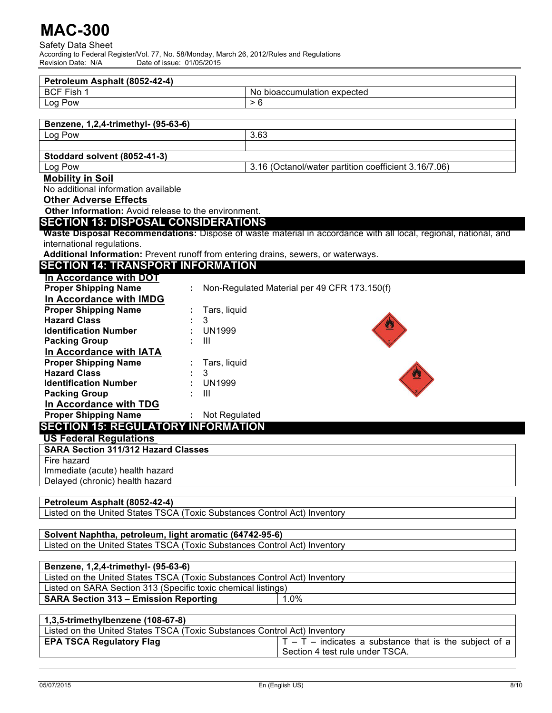Safety Data Sheet According to Federal Register/Vol. 77, No. 58/Monday, March 26, 2012/Rules and Regulations Revision Date: N/A Date of issue: 01/05/2015

| Petroleum Asphalt (8052-42-4)                                                      |                                                                                                                 |  |
|------------------------------------------------------------------------------------|-----------------------------------------------------------------------------------------------------------------|--|
| <b>BCF Fish 1</b>                                                                  | No bioaccumulation expected<br>> 6                                                                              |  |
| Log Pow                                                                            |                                                                                                                 |  |
| Benzene, 1,2,4-trimethyl- (95-63-6)                                                |                                                                                                                 |  |
| Log Pow                                                                            | 3.63                                                                                                            |  |
|                                                                                    |                                                                                                                 |  |
| Stoddard solvent (8052-41-3)                                                       |                                                                                                                 |  |
| Log Pow                                                                            | 3.16 (Octanol/water partition coefficient 3.16/7.06)                                                            |  |
| <b>Mobility in Soil</b>                                                            |                                                                                                                 |  |
| No additional information available                                                |                                                                                                                 |  |
| <b>Other Adverse Effects</b>                                                       |                                                                                                                 |  |
| Other Information: Avoid release to the environment.                               |                                                                                                                 |  |
| <b>SECTION 13: DISPOSAL CONSIDERATIONS</b>                                         |                                                                                                                 |  |
|                                                                                    | Waste Disposal Recommendations: Dispose of waste material in accordance with all local, regional, national, and |  |
| international regulations.                                                         |                                                                                                                 |  |
| Additional Information: Prevent runoff from entering drains, sewers, or waterways. |                                                                                                                 |  |
| <b>SECTION 14: TRANSPORT INFORMATION</b>                                           |                                                                                                                 |  |
| In Accordance with DOT                                                             |                                                                                                                 |  |
| <b>Proper Shipping Name</b>                                                        | Non-Regulated Material per 49 CFR 173.150(f)                                                                    |  |
| In Accordance with IMDG                                                            |                                                                                                                 |  |
| <b>Proper Shipping Name</b>                                                        | Tars, liquid                                                                                                    |  |
| <b>Hazard Class</b><br>3                                                           |                                                                                                                 |  |
| <b>Identification Number</b>                                                       | <b>UN1999</b>                                                                                                   |  |
| <b>Packing Group</b><br>Ш                                                          |                                                                                                                 |  |
| In Accordance with IATA                                                            |                                                                                                                 |  |
| <b>Proper Shipping Name</b>                                                        | Tars, liquid                                                                                                    |  |
| <b>Hazard Class</b><br>3                                                           |                                                                                                                 |  |
| <b>Identification Number</b>                                                       | <b>UN1999</b>                                                                                                   |  |
| <b>Packing Group</b><br>$\mathbf{III}$                                             |                                                                                                                 |  |
| In Accordance with TDG                                                             |                                                                                                                 |  |
| <b>Proper Shipping Name</b>                                                        | : Not Regulated                                                                                                 |  |
| <b>SECTION 15: REGULATORY INFORMATION</b>                                          |                                                                                                                 |  |
| <b>US Federal Regulations</b>                                                      |                                                                                                                 |  |
| <b>SARA Section 311/312 Hazard Classes</b>                                         |                                                                                                                 |  |
| Fire hazard                                                                        |                                                                                                                 |  |
| Immediate (acute) health hazard                                                    |                                                                                                                 |  |
| Delayed (chronic) health hazard                                                    |                                                                                                                 |  |
|                                                                                    |                                                                                                                 |  |
| Petroleum Asphalt (8052-42-4)                                                      |                                                                                                                 |  |
| Listed on the United States TSCA (Toxic Substances Control Act) Inventory          |                                                                                                                 |  |
| Solvent Naphtha, petroleum, light aromatic (64742-95-6)                            |                                                                                                                 |  |
| Listed on the United States TSCA (Toxic Substances Control Act) Inventory          |                                                                                                                 |  |
|                                                                                    |                                                                                                                 |  |
| Benzene, 1,2,4-trimethyl- (95-63-6)                                                |                                                                                                                 |  |
| Listed on the United States TSCA (Toxic Substances Control Act) Inventory          |                                                                                                                 |  |
| Listed on SARA Section 313 (Specific toxic chemical listings)                      |                                                                                                                 |  |
| <b>SARA Section 313 - Emission Reporting</b><br>1.0%                               |                                                                                                                 |  |
|                                                                                    |                                                                                                                 |  |
| 1,3,5-trimethylbenzene (108-67-8)                                                  |                                                                                                                 |  |
| Listed on the United States TSCA (Toxic Substances Control Act) Inventory          |                                                                                                                 |  |

| LISTED ON the United States TSCA (TOXIC Substances Control ACt) inventory |                                                           |
|---------------------------------------------------------------------------|-----------------------------------------------------------|
| <b>EPA TSCA Regulatory Flag</b>                                           | $ T - T -$ indicates a substance that is the subject of a |
|                                                                           | Section 4 test rule under TSCA.                           |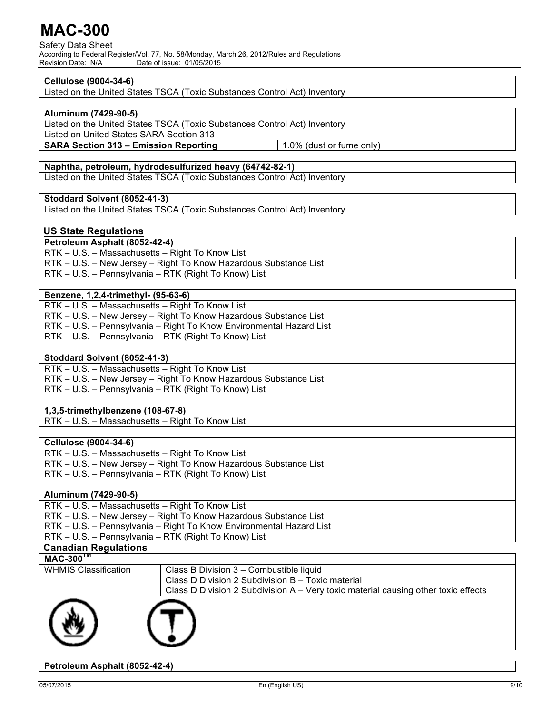Safety Data Sheet According to Federal Register/Vol. 77, No. 58/Monday, March 26, 2012/Rules and Regulations<br>Revision Date: N/A<br> Date of issue: 01/05/2015

## **Cellulose (9004-34-6)**

Listed on the United States TSCA (Toxic Substances Control Act) Inventory

## **Aluminum (7429-90-5)**

Listed on the United States TSCA (Toxic Substances Control Act) Inventory Listed on United States SARA Section 313

**SARA Section 313 – Emission Reporting**  $\vert$  **1.0% (dust or fume only)** 

## **Naphtha, petroleum, hydrodesulfurized heavy (64742-82-1)**

Listed on the United States TSCA (Toxic Substances Control Act) Inventory

## **Stoddard Solvent (8052-41-3)**

Listed on the United States TSCA (Toxic Substances Control Act) Inventory

## **US State Regulations**

**Petroleum Asphalt (8052-42-4)** RTK – U.S. – Massachusetts – Right To Know List RTK – U.S. – New Jersey – Right To Know Hazardous Substance List RTK – U.S. – Pennsylvania – RTK (Right To Know) List

## **Benzene, 1,2,4-trimethyl- (95-63-6)**

| RTK – U.S. – Massachusetts – Right To Know List                     |
|---------------------------------------------------------------------|
| RTK - U.S. - New Jersey - Right To Know Hazardous Substance List    |
| RTK - U.S. - Pennsylvania - Right To Know Environmental Hazard List |
| RTK - U.S. - Pennsylvania - RTK (Right To Know) List                |

## **Stoddard Solvent (8052-41-3)**

RTK – U.S. – Massachusetts – Right To Know List RTK – U.S. – New Jersey – Right To Know Hazardous Substance List RTK – U.S. – Pennsylvania – RTK (Right To Know) List

## **1,3,5-trimethylbenzene (108-67-8)**

RTK – U.S. – Massachusetts – Right To Know List

### **Cellulose (9004-34-6)**

| RTK – U.S. – Massachusetts – Right To Know List                  |
|------------------------------------------------------------------|
| RTK - U.S. - New Jersey - Right To Know Hazardous Substance List |
| RTK – U.S. – Pennsylvania – RTK (Right To Know) List             |

### **Aluminum (7429-90-5)**

| RTK - U.S. - Massachusetts - Right To Know List                     |
|---------------------------------------------------------------------|
| RTK - U.S. - New Jersey - Right To Know Hazardous Substance List    |
| RTK - U.S. - Pennsylvania - Right To Know Environmental Hazard List |
| RTK - U.S. - Pennsylvania - RTK (Right To Know) List                |
|                                                                     |

# **Canadian Regulations**

| $MAC-300$ <sup>M</sup>      |                                                                                    |
|-----------------------------|------------------------------------------------------------------------------------|
| <b>WHMIS Classification</b> | Class B Division 3 - Combustible liquid                                            |
|                             | Class D Division 2 Subdivision B - Toxic material                                  |
|                             | Class D Division 2 Subdivision A - Very toxic material causing other toxic effects |
|                             |                                                                                    |

## **Petroleum Asphalt (8052-42-4)**